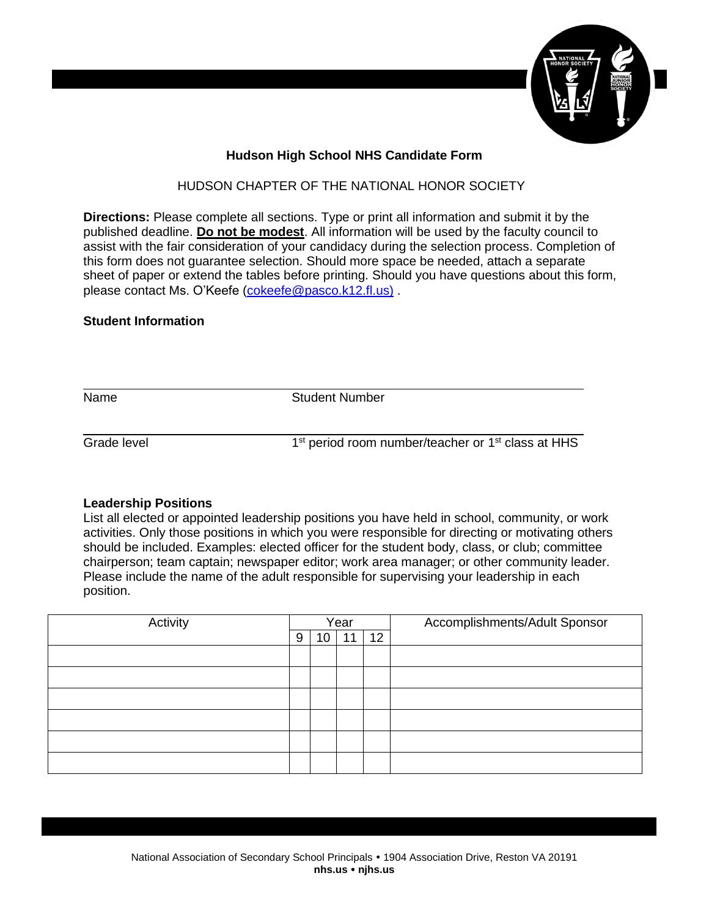

# **Hudson High School NHS Candidate Form**

# HUDSON CHAPTER OF THE NATIONAL HONOR SOCIETY

**Directions:** Please complete all sections. Type or print all information and submit it by the published deadline. **Do not be modest**. All information will be used by the faculty council to assist with the fair consideration of your candidacy during the selection process. Completion of this form does not guarantee selection. Should more space be needed, attach a separate sheet of paper or extend the tables before printing. Should you have questions about this form, please contact Ms. O'Keefe [\(cokeefe@pasco.k12.fl.us\)](mailto:cokeefe@pasco.k12.fl.us)) .

### **Student Information**

Name Student Number

Grade level 1

1<sup>st</sup> period room number/teacher or 1<sup>st</sup> class at HHS

#### **Leadership Positions**

List all elected or appointed leadership positions you have held in school, community, or work activities. Only those positions in which you were responsible for directing or motivating others should be included. Examples: elected officer for the student body, class, or club; committee chairperson; team captain; newspaper editor; work area manager; or other community leader. Please include the name of the adult responsible for supervising your leadership in each position.

| Activity |   | Year |    |    | Accomplishments/Adult Sponsor |
|----------|---|------|----|----|-------------------------------|
|          | 9 | 10   | 11 | 12 |                               |
|          |   |      |    |    |                               |
|          |   |      |    |    |                               |
|          |   |      |    |    |                               |
|          |   |      |    |    |                               |
|          |   |      |    |    |                               |
|          |   |      |    |    |                               |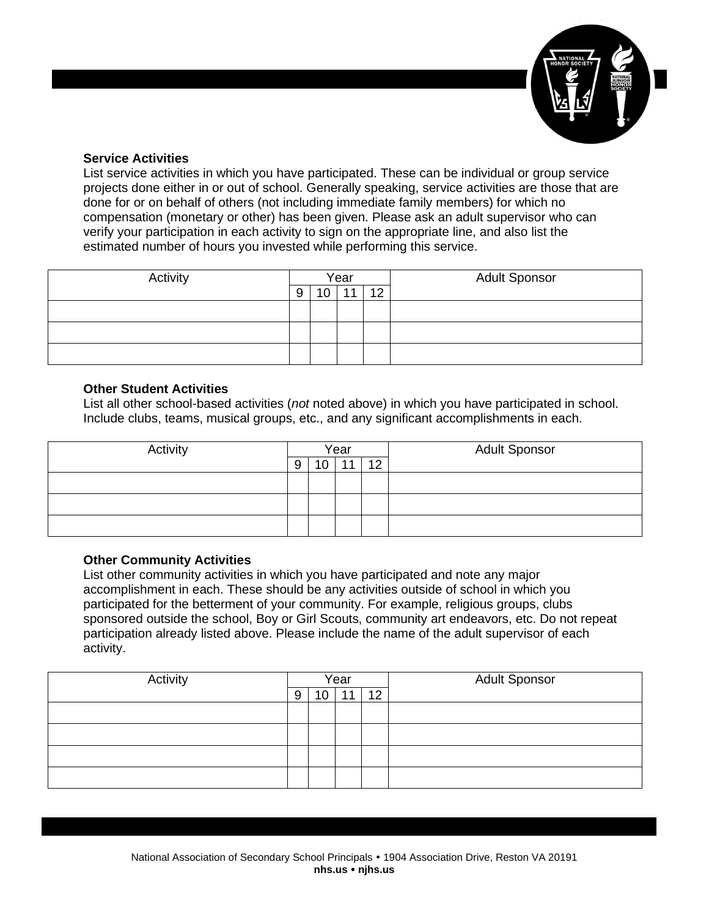

## **Service Activities**

List service activities in which you have participated. These can be individual or group service projects done either in or out of school. Generally speaking, service activities are those that are done for or on behalf of others (not including immediate family members) for which no compensation (monetary or other) has been given. Please ask an adult supervisor who can verify your participation in each activity to sign on the appropriate line, and also list the estimated number of hours you invested while performing this service.

| Activity | Year    |    |                |                 | <b>Adult Sponsor</b> |
|----------|---------|----|----------------|-----------------|----------------------|
|          | O<br>×. | 10 | 4 <sub>4</sub> | 12 <sub>1</sub> |                      |
|          |         |    |                |                 |                      |
|          |         |    |                |                 |                      |
|          |         |    |                |                 |                      |

### **Other Student Activities**

List all other school-based activities (*not* noted above) in which you have participated in school. Include clubs, teams, musical groups, etc., and any significant accomplishments in each.

| Activity | Year |    |   |    | <b>Adult Sponsor</b> |
|----------|------|----|---|----|----------------------|
|          | Q    | 10 | И | 12 |                      |
|          |      |    |   |    |                      |
|          |      |    |   |    |                      |
|          |      |    |   |    |                      |

# **Other Community Activities**

List other community activities in which you have participated and note any major accomplishment in each. These should be any activities outside of school in which you participated for the betterment of your community. For example, religious groups, clubs sponsored outside the school, Boy or Girl Scouts, community art endeavors, etc. Do not repeat participation already listed above. Please include the name of the adult supervisor of each activity.

| Activity | Year |    |  |    | <b>Adult Sponsor</b> |
|----------|------|----|--|----|----------------------|
|          | 9    | 10 |  | 12 |                      |
|          |      |    |  |    |                      |
|          |      |    |  |    |                      |
|          |      |    |  |    |                      |
|          |      |    |  |    |                      |